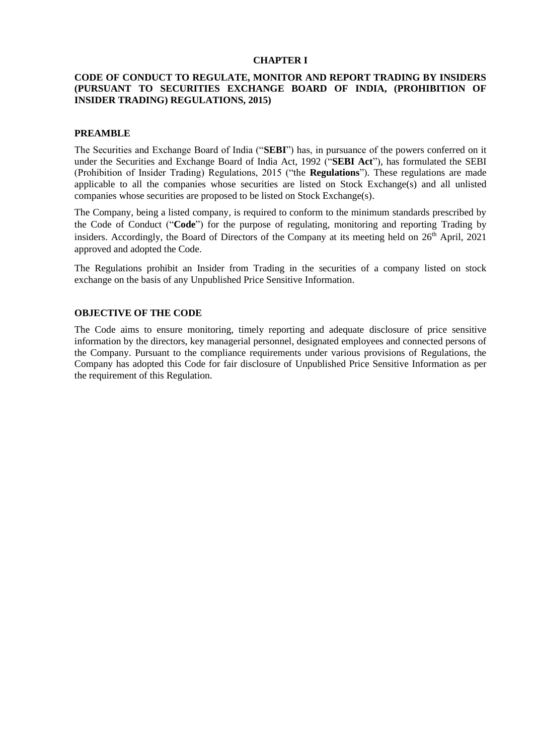### **CHAPTER I**

## **CODE OF CONDUCT TO REGULATE, MONITOR AND REPORT TRADING BY INSIDERS (PURSUANT TO SECURITIES EXCHANGE BOARD OF INDIA, (PROHIBITION OF INSIDER TRADING) REGULATIONS, 2015)**

#### **PREAMBLE**

The Securities and Exchange Board of India ("**SEBI**") has, in pursuance of the powers conferred on it under the Securities and Exchange Board of India Act, 1992 ("**SEBI Act**"), has formulated the SEBI (Prohibition of Insider Trading) Regulations, 2015 ("the **Regulations**"). These regulations are made applicable to all the companies whose securities are listed on Stock Exchange(s) and all unlisted companies whose securities are proposed to be listed on Stock Exchange(s).

The Company, being a listed company, is required to conform to the minimum standards prescribed by the Code of Conduct ("**Code**") for the purpose of regulating, monitoring and reporting Trading by insiders. Accordingly, the Board of Directors of the Company at its meeting held on 26<sup>th</sup> April, 2021 approved and adopted the Code.

The Regulations prohibit an Insider from Trading in the securities of a company listed on stock exchange on the basis of any Unpublished Price Sensitive Information.

#### **OBJECTIVE OF THE CODE**

The Code aims to ensure monitoring, timely reporting and adequate disclosure of price sensitive information by the directors, key managerial personnel, designated employees and connected persons of the Company. Pursuant to the compliance requirements under various provisions of Regulations, the Company has adopted this Code for fair disclosure of Unpublished Price Sensitive Information as per the requirement of this Regulation.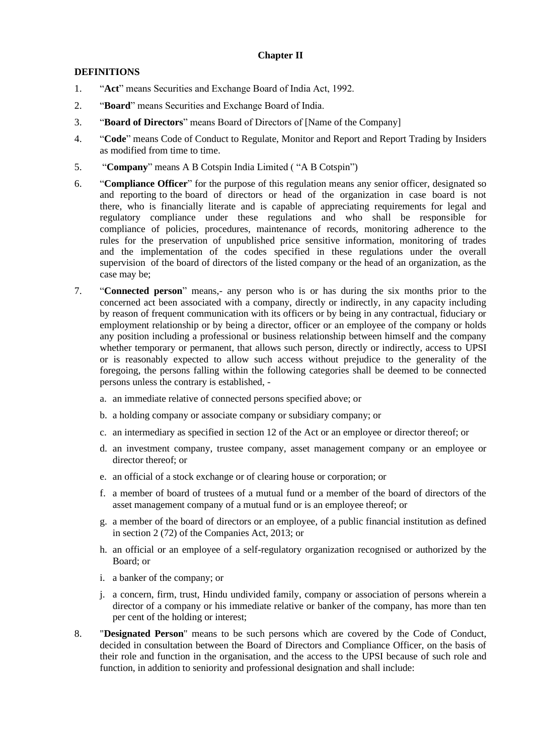## **Chapter II**

## **DEFINITIONS**

- 1. "**Act**" means Securities and Exchange Board of India Act, 1992.
- 2. "**Board**" means Securities and Exchange Board of India.
- 3. "**Board of Directors**" means Board of Directors of [Name of the Company]
- 4. "**Code**" means Code of Conduct to Regulate, Monitor and Report and Report Trading by Insiders as modified from time to time.
- 5. "**Company**" means A B Cotspin India Limited ( "A B Cotspin")
- 6. "**Compliance Officer**" for the purpose of this regulation means any senior officer, designated so and reporting to the board of directors or head of the organization in case board is not there, who is financially literate and is capable of appreciating requirements for legal and regulatory compliance under these regulations and who shall be responsible for compliance of policies, procedures, maintenance of records, monitoring adherence to the rules for the preservation of unpublished price sensitive information, monitoring of trades and the implementation of the codes specified in these regulations under the overall supervision of the board of directors of the listed company or the head of an organization, as the case may be;
- 7. "**Connected person**" means,- any person who is or has during the six months prior to the concerned act been associated with a company, directly or indirectly, in any capacity including by reason of frequent communication with its officers or by being in any contractual, fiduciary or employment relationship or by being a director, officer or an employee of the company or holds any position including a professional or business relationship between himself and the company whether temporary or permanent, that allows such person, directly or indirectly, access to UPSI or is reasonably expected to allow such access without prejudice to the generality of the foregoing, the persons falling within the following categories shall be deemed to be connected persons unless the contrary is established,
	- a. an immediate relative of connected persons specified above; or
	- b. a holding company or associate company or subsidiary company; or
	- c. an intermediary as specified in section 12 of the Act or an employee or director thereof; or
	- d. an investment company, trustee company, asset management company or an employee or director thereof; or
	- e. an official of a stock exchange or of clearing house or corporation; or
	- f. a member of board of trustees of a mutual fund or a member of the board of directors of the asset management company of a mutual fund or is an employee thereof; or
	- g. a member of the board of directors or an employee, of a public financial institution as defined in section 2 (72) of the Companies Act, 2013; or
	- h. an official or an employee of a self-regulatory organization recognised or authorized by the Board; or
	- i. a banker of the company; or
	- j. a concern, firm, trust, Hindu undivided family, company or association of persons wherein a director of a company or his immediate relative or banker of the company, has more than ten per cent of the holding or interest;
- 8. "**Designated Person**" means to be such persons which are covered by the Code of Conduct, decided in consultation between the Board of Directors and Compliance Officer, on the basis of their role and function in the organisation, and the access to the UPSI because of such role and function, in addition to seniority and professional designation and shall include: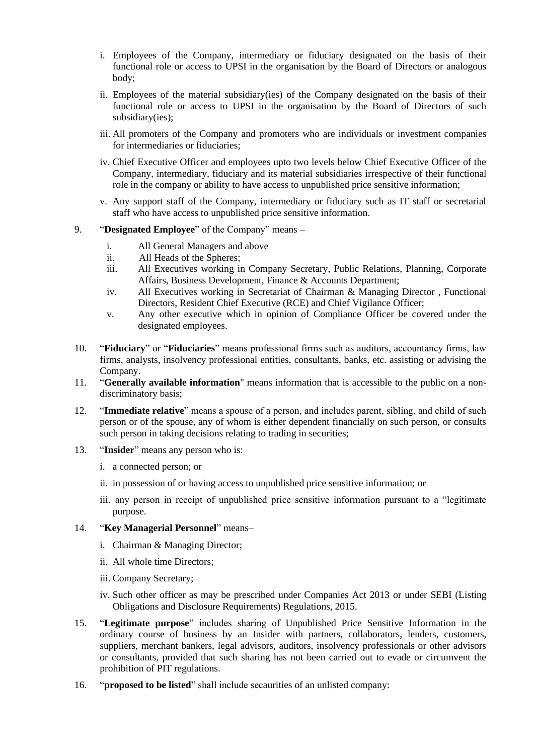- i. Employees of the Company, intermediary or fiduciary designated on the basis of their functional role or access to UPSI in the organisation by the Board of Directors or analogous body;
- ii. Employees of the material subsidiary(ies) of the Company designated on the basis of their functional role or access to UPSI in the organisation by the Board of Directors of such subsidiary(ies);
- iii. All promoters of the Company and promoters who are individuals or investment companies for intermediaries or fiduciaries;
- iv. Chief Executive Officer and employees upto two levels below Chief Executive Officer of the Company, intermediary, fiduciary and its material subsidiaries irrespective of their functional role in the company or ability to have access to unpublished price sensitive information;
- v. Any support staff of the Company, intermediary or fiduciary such as IT staff or secretarial staff who have access to unpublished price sensitive information.
- 9. "**Designated Employee**" of the Company" means
	- i. All General Managers and above
	- ii. All Heads of the Spheres;
	- iii. All Executives working in Company Secretary, Public Relations, Planning, Corporate Affairs, Business Development, Finance & Accounts Department;
	- iv. All Executives working in Secretariat of Chairman & Managing Director , Functional Directors, Resident Chief Executive (RCE) and Chief Vigilance Officer;
	- v. Any other executive which in opinion of Compliance Officer be covered under the designated employees.
- 10. "**Fiduciary**" or "**Fiduciaries**" means professional firms such as auditors, accountancy firms, law firms, analysts, insolvency professional entities, consultants, banks, etc. assisting or advising the Company.
- 11. "**Generally available information**" means information that is accessible to the public on a nondiscriminatory basis;
- 12. "**Immediate relative**" means a spouse of a person, and includes parent, sibling, and child of such person or of the spouse, any of whom is either dependent financially on such person, or consults such person in taking decisions relating to trading in securities;
- 13. "**Insider**" means any person who is:
	- i. a connected person; or
	- ii. in possession of or having access to unpublished price sensitive information; or
	- iii. any person in receipt of unpublished price sensitive information pursuant to a "legitimate purpose.

# 14. "**Key Managerial Personnel**" means–

- i. Chairman & Managing Director;
- ii. All whole time Directors;
- iii. Company Secretary;
- iv. Such other officer as may be prescribed under Companies Act 2013 or under SEBI (Listing Obligations and Disclosure Requirements) Regulations, 2015.
- 15. "**Legitimate purpose**" includes sharing of Unpublished Price Sensitive Information in the ordinary course of business by an Insider with partners, collaborators, lenders, customers, suppliers, merchant bankers, legal advisors, auditors, insolvency professionals or other advisors or consultants, provided that such sharing has not been carried out to evade or circumvent the prohibition of PIT regulations.
- 16. "**proposed to be listed**" shall include secaurities of an unlisted company: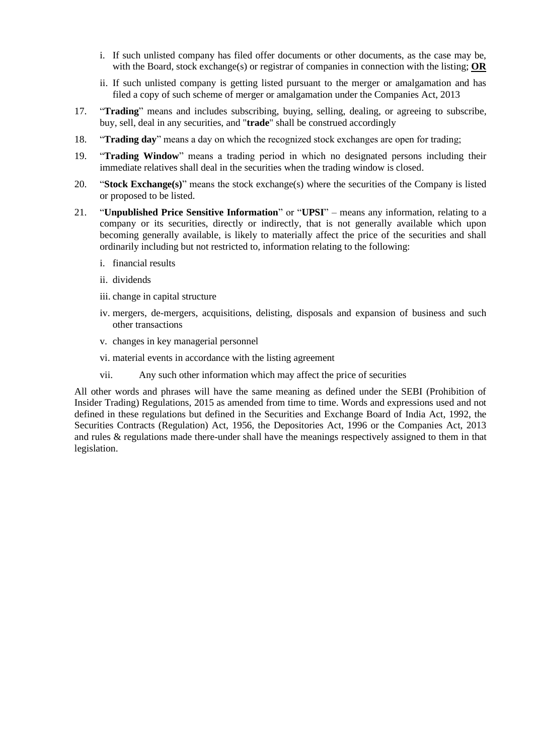- i. If such unlisted company has filed offer documents or other documents, as the case may be, with the Board, stock exchange(s) or registrar of companies in connection with the listing; **OR**
- ii. If such unlisted company is getting listed pursuant to the merger or amalgamation and has filed a copy of such scheme of merger or amalgamation under the Companies Act, 2013
- 17. "**Trading**" means and includes subscribing, buying, selling, dealing, or agreeing to subscribe, buy, sell, deal in any securities, and "**trade**" shall be construed accordingly
- 18. "**Trading day**" means a day on which the recognized stock exchanges are open for trading;
- 19. "**Trading Window**" means a trading period in which no designated persons including their immediate relatives shall deal in the securities when the trading window is closed.
- 20. "**Stock Exchange(s)**" means the stock exchange(s) where the securities of the Company is listed or proposed to be listed.
- 21. "**Unpublished Price Sensitive Information**" or "**UPSI**" means any information, relating to a company or its securities, directly or indirectly, that is not generally available which upon becoming generally available, is likely to materially affect the price of the securities and shall ordinarily including but not restricted to, information relating to the following:
	- i. financial results
	- ii. dividends
	- iii. change in capital structure
	- iv. mergers, de-mergers, acquisitions, delisting, disposals and expansion of business and such other transactions
	- v. changes in key managerial personnel
	- vi. material events in accordance with the listing agreement
	- vii. Any such other information which may affect the price of securities

All other words and phrases will have the same meaning as defined under the SEBI (Prohibition of Insider Trading) Regulations, 2015 as amended from time to time. Words and expressions used and not defined in these regulations but defined in the Securities and Exchange Board of India Act, 1992, the Securities Contracts (Regulation) Act, 1956, the Depositories Act, 1996 or the Companies Act, 2013 and rules & regulations made there-under shall have the meanings respectively assigned to them in that legislation.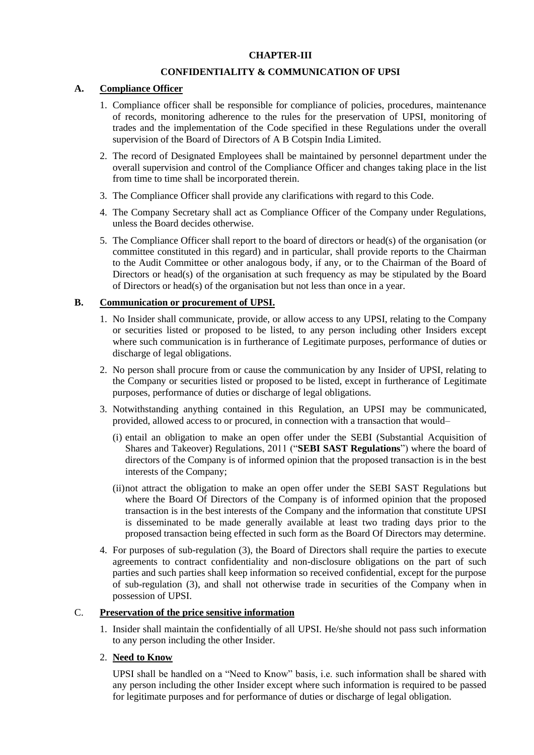## **CHAPTER-III**

## **CONFIDENTIALITY & COMMUNICATION OF UPSI**

## **A. Compliance Officer**

- 1. Compliance officer shall be responsible for compliance of policies, procedures, maintenance of records, monitoring adherence to the rules for the preservation of UPSI, monitoring of trades and the implementation of the Code specified in these Regulations under the overall supervision of the Board of Directors of A B Cotspin India Limited.
- 2. The record of Designated Employees shall be maintained by personnel department under the overall supervision and control of the Compliance Officer and changes taking place in the list from time to time shall be incorporated therein.
- 3. The Compliance Officer shall provide any clarifications with regard to this Code.
- 4. The Company Secretary shall act as Compliance Officer of the Company under Regulations, unless the Board decides otherwise.
- 5. The Compliance Officer shall report to the board of directors or head(s) of the organisation (or committee constituted in this regard) and in particular, shall provide reports to the Chairman to the Audit Committee or other analogous body, if any, or to the Chairman of the Board of Directors or head(s) of the organisation at such frequency as may be stipulated by the Board of Directors or head(s) of the organisation but not less than once in a year.

### **B. Communication or procurement of UPSI.**

- 1. No Insider shall communicate, provide, or allow access to any UPSI, relating to the Company or securities listed or proposed to be listed, to any person including other Insiders except where such communication is in furtherance of Legitimate purposes, performance of duties or discharge of legal obligations.
- 2. No person shall procure from or cause the communication by any Insider of UPSI, relating to the Company or securities listed or proposed to be listed, except in furtherance of Legitimate purposes, performance of duties or discharge of legal obligations.
- 3. Notwithstanding anything contained in this Regulation, an UPSI may be communicated, provided, allowed access to or procured, in connection with a transaction that would–
	- (i) entail an obligation to make an open offer under the SEBI (Substantial Acquisition of Shares and Takeover) Regulations, 2011 ("**SEBI SAST Regulations**") where the board of directors of the Company is of informed opinion that the proposed transaction is in the best interests of the Company;
	- (ii)not attract the obligation to make an open offer under the SEBI SAST Regulations but where the Board Of Directors of the Company is of informed opinion that the proposed transaction is in the best interests of the Company and the information that constitute UPSI is disseminated to be made generally available at least two trading days prior to the proposed transaction being effected in such form as the Board Of Directors may determine.
- 4. For purposes of sub-regulation (3), the Board of Directors shall require the parties to execute agreements to contract confidentiality and non-disclosure obligations on the part of such parties and such parties shall keep information so received confidential, except for the purpose of sub-regulation (3), and shall not otherwise trade in securities of the Company when in possession of UPSI.

## C. **Preservation of the price sensitive information**

1. Insider shall maintain the confidentially of all UPSI. He/she should not pass such information to any person including the other Insider.

# 2. **Need to Know**

UPSI shall be handled on a "Need to Know" basis, i.e. such information shall be shared with any person including the other Insider except where such information is required to be passed for legitimate purposes and for performance of duties or discharge of legal obligation.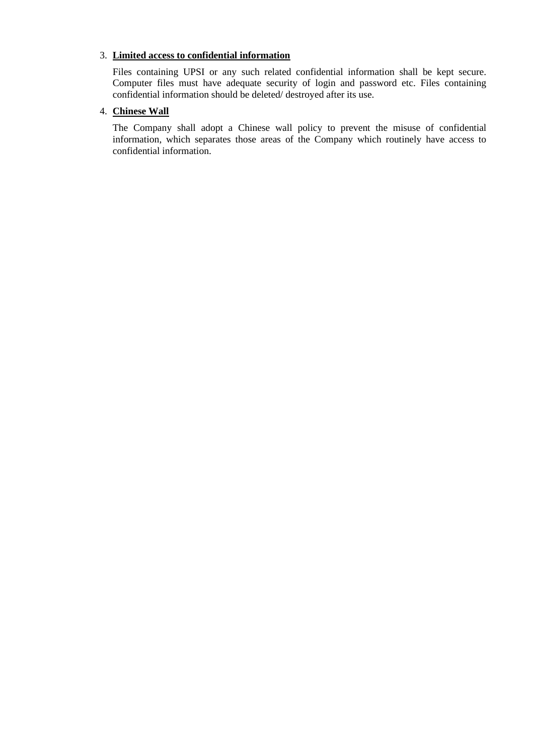## 3. **Limited access to confidential information**

Files containing UPSI or any such related confidential information shall be kept secure. Computer files must have adequate security of login and password etc. Files containing confidential information should be deleted/ destroyed after its use.

## 4. **Chinese Wall**

The Company shall adopt a Chinese wall policy to prevent the misuse of confidential information, which separates those areas of the Company which routinely have access to confidential information.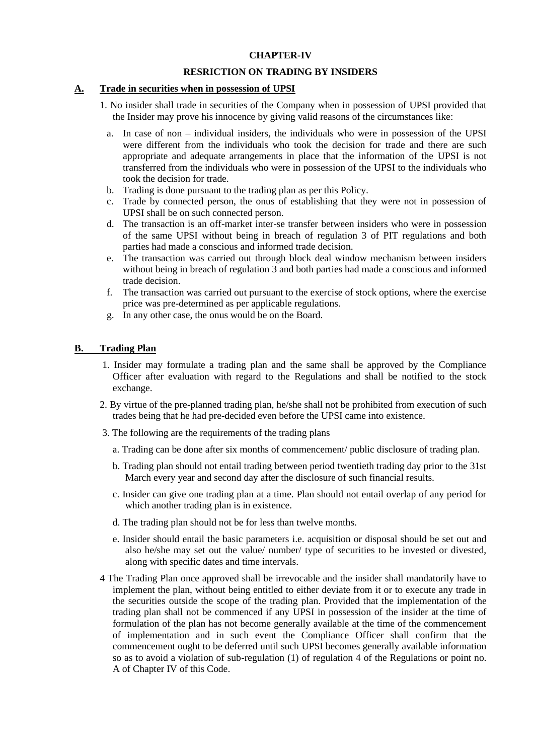### **CHAPTER-IV**

### **RESRICTION ON TRADING BY INSIDERS**

### **A. Trade in securities when in possession of UPSI**

- 1. No insider shall trade in securities of the Company when in possession of UPSI provided that the Insider may prove his innocence by giving valid reasons of the circumstances like:
	- a. In case of non individual insiders, the individuals who were in possession of the UPSI were different from the individuals who took the decision for trade and there are such appropriate and adequate arrangements in place that the information of the UPSI is not transferred from the individuals who were in possession of the UPSI to the individuals who took the decision for trade.
	- b. Trading is done pursuant to the trading plan as per this Policy.
	- c. Trade by connected person, the onus of establishing that they were not in possession of UPSI shall be on such connected person.
	- d. The transaction is an off-market inter-se transfer between insiders who were in possession of the same UPSI without being in breach of regulation 3 of PIT regulations and both parties had made a conscious and informed trade decision.
	- e. The transaction was carried out through block deal window mechanism between insiders without being in breach of regulation 3 and both parties had made a conscious and informed trade decision.
	- f. The transaction was carried out pursuant to the exercise of stock options, where the exercise price was pre-determined as per applicable regulations.
	- g. In any other case, the onus would be on the Board.

## **B. Trading Plan**

- 1. Insider may formulate a trading plan and the same shall be approved by the Compliance Officer after evaluation with regard to the Regulations and shall be notified to the stock exchange.
- 2. By virtue of the pre-planned trading plan, he/she shall not be prohibited from execution of such trades being that he had pre-decided even before the UPSI came into existence.
- 3. The following are the requirements of the trading plans
	- a. Trading can be done after six months of commencement/ public disclosure of trading plan.
	- b. Trading plan should not entail trading between period twentieth trading day prior to the 31st March every year and second day after the disclosure of such financial results.
	- c. Insider can give one trading plan at a time. Plan should not entail overlap of any period for which another trading plan is in existence.
	- d. The trading plan should not be for less than twelve months.
	- e. Insider should entail the basic parameters i.e. acquisition or disposal should be set out and also he/she may set out the value/ number/ type of securities to be invested or divested, along with specific dates and time intervals.
- 4 The Trading Plan once approved shall be irrevocable and the insider shall mandatorily have to implement the plan, without being entitled to either deviate from it or to execute any trade in the securities outside the scope of the trading plan. Provided that the implementation of the trading plan shall not be commenced if any UPSI in possession of the insider at the time of formulation of the plan has not become generally available at the time of the commencement of implementation and in such event the Compliance Officer shall confirm that the commencement ought to be deferred until such UPSI becomes generally available information so as to avoid a violation of sub-regulation (1) of regulation 4 of the Regulations or point no. A of Chapter IV of this Code.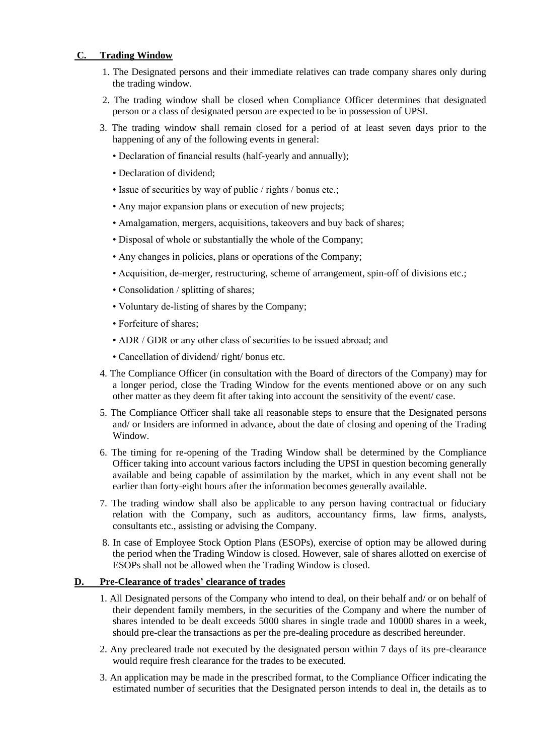## **C. Trading Window**

- 1. The Designated persons and their immediate relatives can trade company shares only during the trading window.
- 2. The trading window shall be closed when Compliance Officer determines that designated person or a class of designated person are expected to be in possession of UPSI.
- 3. The trading window shall remain closed for a period of at least seven days prior to the happening of any of the following events in general:
	- Declaration of financial results (half-yearly and annually);
	- Declaration of dividend;
	- Issue of securities by way of public / rights / bonus etc.;
	- Any major expansion plans or execution of new projects;
	- Amalgamation, mergers, acquisitions, takeovers and buy back of shares;
	- Disposal of whole or substantially the whole of the Company;
	- Any changes in policies, plans or operations of the Company;
	- Acquisition, de-merger, restructuring, scheme of arrangement, spin-off of divisions etc.;
	- Consolidation / splitting of shares;
	- Voluntary de-listing of shares by the Company;
	- Forfeiture of shares;
	- ADR / GDR or any other class of securities to be issued abroad; and
	- Cancellation of dividend/ right/ bonus etc.
- 4. The Compliance Officer (in consultation with the Board of directors of the Company) may for a longer period, close the Trading Window for the events mentioned above or on any such other matter as they deem fit after taking into account the sensitivity of the event/ case.
- 5. The Compliance Officer shall take all reasonable steps to ensure that the Designated persons and/ or Insiders are informed in advance, about the date of closing and opening of the Trading Window.
- 6. The timing for re-opening of the Trading Window shall be determined by the Compliance Officer taking into account various factors including the UPSI in question becoming generally available and being capable of assimilation by the market, which in any event shall not be earlier than forty-eight hours after the information becomes generally available.
- 7. The trading window shall also be applicable to any person having contractual or fiduciary relation with the Company, such as auditors, accountancy firms, law firms, analysts, consultants etc., assisting or advising the Company.
- 8. In case of Employee Stock Option Plans (ESOPs), exercise of option may be allowed during the period when the Trading Window is closed. However, sale of shares allotted on exercise of ESOPs shall not be allowed when the Trading Window is closed.

### **D. Pre-Clearance of trades' clearance of trades**

- 1. All Designated persons of the Company who intend to deal, on their behalf and/ or on behalf of their dependent family members, in the securities of the Company and where the number of shares intended to be dealt exceeds 5000 shares in single trade and 10000 shares in a week, should pre-clear the transactions as per the pre-dealing procedure as described hereunder.
- 2. Any precleared trade not executed by the designated person within 7 days of its pre-clearance would require fresh clearance for the trades to be executed.
- 3. An application may be made in the prescribed format, to the Compliance Officer indicating the estimated number of securities that the Designated person intends to deal in, the details as to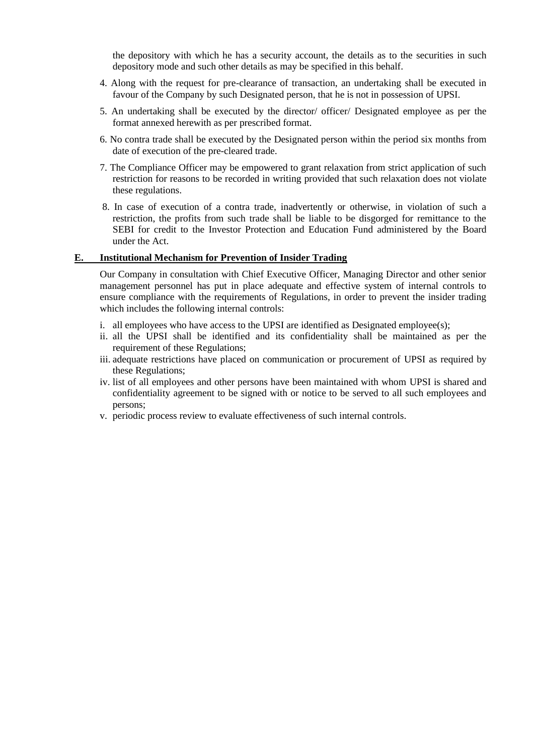the depository with which he has a security account, the details as to the securities in such depository mode and such other details as may be specified in this behalf.

- 4. Along with the request for pre-clearance of transaction, an undertaking shall be executed in favour of the Company by such Designated person, that he is not in possession of UPSI.
- 5. An undertaking shall be executed by the director/ officer/ Designated employee as per the format annexed herewith as per prescribed format.
- 6. No contra trade shall be executed by the Designated person within the period six months from date of execution of the pre-cleared trade.
- 7. The Compliance Officer may be empowered to grant relaxation from strict application of such restriction for reasons to be recorded in writing provided that such relaxation does not violate these regulations.
- 8. In case of execution of a contra trade, inadvertently or otherwise, in violation of such a restriction, the profits from such trade shall be liable to be disgorged for remittance to the SEBI for credit to the Investor Protection and Education Fund administered by the Board under the Act.

### **E. Institutional Mechanism for Prevention of Insider Trading**

Our Company in consultation with Chief Executive Officer, Managing Director and other senior management personnel has put in place adequate and effective system of internal controls to ensure compliance with the requirements of Regulations, in order to prevent the insider trading which includes the following internal controls:

- i. all employees who have access to the UPSI are identified as Designated employee(s);
- ii. all the UPSI shall be identified and its confidentiality shall be maintained as per the requirement of these Regulations;
- iii. adequate restrictions have placed on communication or procurement of UPSI as required by these Regulations;
- iv. list of all employees and other persons have been maintained with whom UPSI is shared and confidentiality agreement to be signed with or notice to be served to all such employees and persons;
- v. periodic process review to evaluate effectiveness of such internal controls.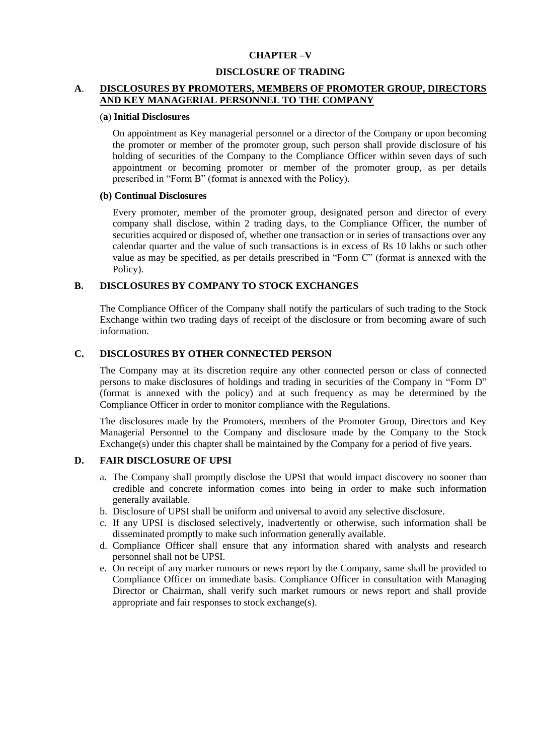### **CHAPTER –V**

#### **DISCLOSURE OF TRADING**

## **A**. **DISCLOSURES BY PROMOTERS, MEMBERS OF PROMOTER GROUP, DIRECTORS AND KEY MANAGERIAL PERSONNEL TO THE COMPANY**

#### (**a**) **Initial Disclosures**

On appointment as Key managerial personnel or a director of the Company or upon becoming the promoter or member of the promoter group, such person shall provide disclosure of his holding of securities of the Company to the Compliance Officer within seven days of such appointment or becoming promoter or member of the promoter group, as per details prescribed in "Form B" (format is annexed with the Policy).

#### **(b) Continual Disclosures**

Every promoter, member of the promoter group, designated person and director of every company shall disclose, within 2 trading days, to the Compliance Officer, the number of securities acquired or disposed of, whether one transaction or in series of transactions over any calendar quarter and the value of such transactions is in excess of Rs 10 lakhs or such other value as may be specified, as per details prescribed in "Form C" (format is annexed with the Policy).

#### **B. DISCLOSURES BY COMPANY TO STOCK EXCHANGES**

The Compliance Officer of the Company shall notify the particulars of such trading to the Stock Exchange within two trading days of receipt of the disclosure or from becoming aware of such information.

### **C. DISCLOSURES BY OTHER CONNECTED PERSON**

The Company may at its discretion require any other connected person or class of connected persons to make disclosures of holdings and trading in securities of the Company in "Form D" (format is annexed with the policy) and at such frequency as may be determined by the Compliance Officer in order to monitor compliance with the Regulations.

The disclosures made by the Promoters, members of the Promoter Group, Directors and Key Managerial Personnel to the Company and disclosure made by the Company to the Stock Exchange(s) under this chapter shall be maintained by the Company for a period of five years.

#### **D. FAIR DISCLOSURE OF UPSI**

- a. The Company shall promptly disclose the UPSI that would impact discovery no sooner than credible and concrete information comes into being in order to make such information generally available.
- b. Disclosure of UPSI shall be uniform and universal to avoid any selective disclosure.
- c. If any UPSI is disclosed selectively, inadvertently or otherwise, such information shall be disseminated promptly to make such information generally available.
- d. Compliance Officer shall ensure that any information shared with analysts and research personnel shall not be UPSI.
- e. On receipt of any marker rumours or news report by the Company, same shall be provided to Compliance Officer on immediate basis. Compliance Officer in consultation with Managing Director or Chairman, shall verify such market rumours or news report and shall provide appropriate and fair responses to stock exchange(s).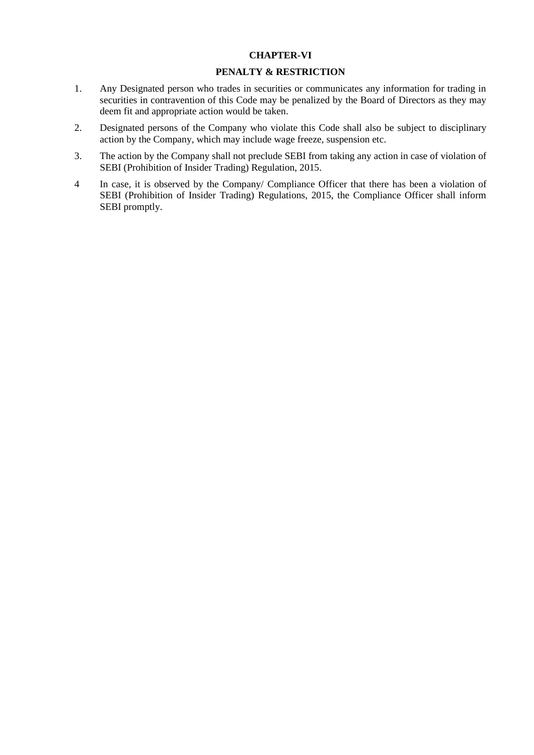### **CHAPTER-VI**

### **PENALTY & RESTRICTION**

- 1. Any Designated person who trades in securities or communicates any information for trading in securities in contravention of this Code may be penalized by the Board of Directors as they may deem fit and appropriate action would be taken.
- 2. Designated persons of the Company who violate this Code shall also be subject to disciplinary action by the Company, which may include wage freeze, suspension etc.
- 3. The action by the Company shall not preclude SEBI from taking any action in case of violation of SEBI (Prohibition of Insider Trading) Regulation, 2015.
- 4 In case, it is observed by the Company/ Compliance Officer that there has been a violation of SEBI (Prohibition of Insider Trading) Regulations, 2015, the Compliance Officer shall inform SEBI promptly.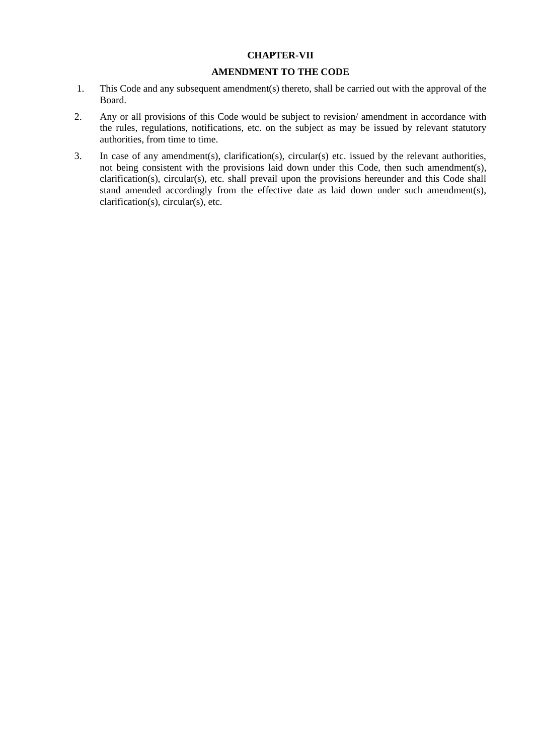### **CHAPTER-VII**

### **AMENDMENT TO THE CODE**

- 1. This Code and any subsequent amendment(s) thereto, shall be carried out with the approval of the Board.
- 2. Any or all provisions of this Code would be subject to revision/ amendment in accordance with the rules, regulations, notifications, etc. on the subject as may be issued by relevant statutory authorities, from time to time.
- 3. In case of any amendment(s), clarification(s), circular(s) etc. issued by the relevant authorities, not being consistent with the provisions laid down under this Code, then such amendment(s), clarification(s), circular(s), etc. shall prevail upon the provisions hereunder and this Code shall stand amended accordingly from the effective date as laid down under such amendment(s), clarification(s), circular(s), etc.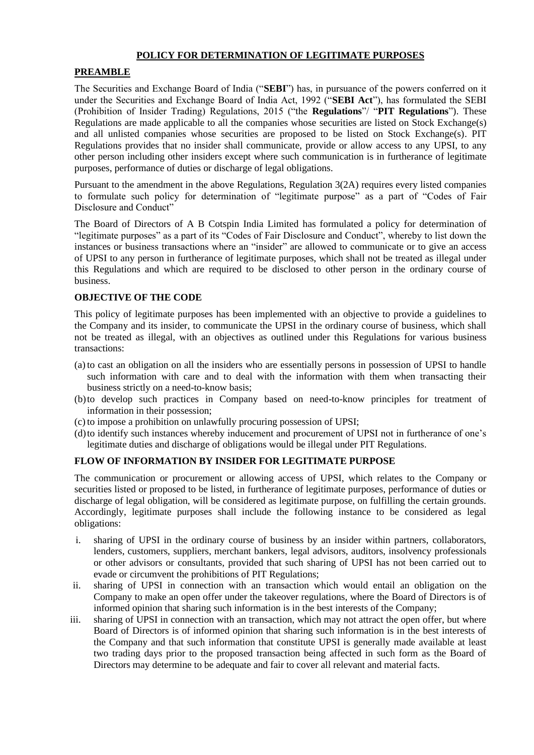## **POLICY FOR DETERMINATION OF LEGITIMATE PURPOSES**

### **PREAMBLE**

The Securities and Exchange Board of India ("**SEBI**") has, in pursuance of the powers conferred on it under the Securities and Exchange Board of India Act, 1992 ("**SEBI Act**"), has formulated the SEBI (Prohibition of Insider Trading) Regulations, 2015 ("the **Regulations**"/ "**PIT Regulations**"). These Regulations are made applicable to all the companies whose securities are listed on Stock Exchange(s) and all unlisted companies whose securities are proposed to be listed on Stock Exchange(s). PIT Regulations provides that no insider shall communicate, provide or allow access to any UPSI, to any other person including other insiders except where such communication is in furtherance of legitimate purposes, performance of duties or discharge of legal obligations.

Pursuant to the amendment in the above Regulations, Regulation 3(2A) requires every listed companies to formulate such policy for determination of "legitimate purpose" as a part of "Codes of Fair Disclosure and Conduct"

The Board of Directors of A B Cotspin India Limited has formulated a policy for determination of "legitimate purposes" as a part of its "Codes of Fair Disclosure and Conduct", whereby to list down the instances or business transactions where an "insider" are allowed to communicate or to give an access of UPSI to any person in furtherance of legitimate purposes, which shall not be treated as illegal under this Regulations and which are required to be disclosed to other person in the ordinary course of business.

## **OBJECTIVE OF THE CODE**

This policy of legitimate purposes has been implemented with an objective to provide a guidelines to the Company and its insider, to communicate the UPSI in the ordinary course of business, which shall not be treated as illegal, with an objectives as outlined under this Regulations for various business transactions:

- (a) to cast an obligation on all the insiders who are essentially persons in possession of UPSI to handle such information with care and to deal with the information with them when transacting their business strictly on a need-to-know basis;
- (b)to develop such practices in Company based on need-to-know principles for treatment of information in their possession;
- (c) to impose a prohibition on unlawfully procuring possession of UPSI;
- (d)to identify such instances whereby inducement and procurement of UPSI not in furtherance of one's legitimate duties and discharge of obligations would be illegal under PIT Regulations.

## **FLOW OF INFORMATION BY INSIDER FOR LEGITIMATE PURPOSE**

The communication or procurement or allowing access of UPSI, which relates to the Company or securities listed or proposed to be listed, in furtherance of legitimate purposes, performance of duties or discharge of legal obligation, will be considered as legitimate purpose, on fulfilling the certain grounds. Accordingly, legitimate purposes shall include the following instance to be considered as legal obligations:

- i. sharing of UPSI in the ordinary course of business by an insider within partners, collaborators, lenders, customers, suppliers, merchant bankers, legal advisors, auditors, insolvency professionals or other advisors or consultants, provided that such sharing of UPSI has not been carried out to evade or circumvent the prohibitions of PIT Regulations;
- ii. sharing of UPSI in connection with an transaction which would entail an obligation on the Company to make an open offer under the takeover regulations, where the Board of Directors is of informed opinion that sharing such information is in the best interests of the Company;
- iii. sharing of UPSI in connection with an transaction, which may not attract the open offer, but where Board of Directors is of informed opinion that sharing such information is in the best interests of the Company and that such information that constitute UPSI is generally made available at least two trading days prior to the proposed transaction being affected in such form as the Board of Directors may determine to be adequate and fair to cover all relevant and material facts.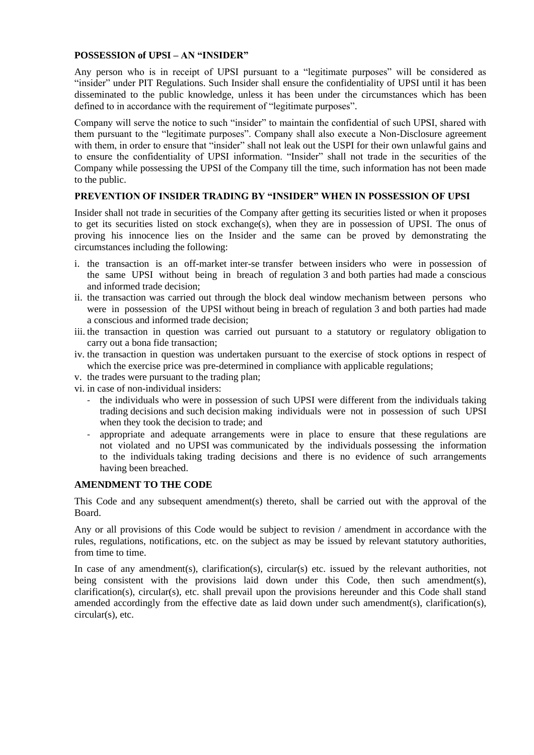### **POSSESSION of UPSI – AN "INSIDER"**

Any person who is in receipt of UPSI pursuant to a "legitimate purposes" will be considered as "insider" under PIT Regulations. Such Insider shall ensure the confidentiality of UPSI until it has been disseminated to the public knowledge, unless it has been under the circumstances which has been defined to in accordance with the requirement of "legitimate purposes".

Company will serve the notice to such "insider" to maintain the confidential of such UPSI, shared with them pursuant to the "legitimate purposes". Company shall also execute a Non-Disclosure agreement with them, in order to ensure that "insider" shall not leak out the USPI for their own unlawful gains and to ensure the confidentiality of UPSI information. "Insider" shall not trade in the securities of the Company while possessing the UPSI of the Company till the time, such information has not been made to the public.

### **PREVENTION OF INSIDER TRADING BY "INSIDER" WHEN IN POSSESSION OF UPSI**

Insider shall not trade in securities of the Company after getting its securities listed or when it proposes to get its securities listed on stock exchange(s), when they are in possession of UPSI. The onus of proving his innocence lies on the Insider and the same can be proved by demonstrating the circumstances including the following:

- i. the transaction is an off-market inter-se transfer between insiders who were in possession of the same UPSI without being in breach of regulation 3 and both parties had made a conscious and informed trade decision;
- ii. the transaction was carried out through the block deal window mechanism between persons who were in possession of the UPSI without being in breach of regulation 3 and both parties had made a conscious and informed trade decision;
- iii. the transaction in question was carried out pursuant to a statutory or regulatory obligation to carry out a bona fide transaction;
- iv. the transaction in question was undertaken pursuant to the exercise of stock options in respect of which the exercise price was pre-determined in compliance with applicable regulations;
- v. the trades were pursuant to the trading plan;
- vi. in case of non-individual insiders:
	- the individuals who were in possession of such UPSI were different from the individuals taking trading decisions and such decision making individuals were not in possession of such UPSI when they took the decision to trade; and
	- appropriate and adequate arrangements were in place to ensure that these regulations are not violated and no UPSI was communicated by the individuals possessing the information to the individuals taking trading decisions and there is no evidence of such arrangements having been breached.

### **AMENDMENT TO THE CODE**

This Code and any subsequent amendment(s) thereto, shall be carried out with the approval of the Board.

Any or all provisions of this Code would be subject to revision / amendment in accordance with the rules, regulations, notifications, etc. on the subject as may be issued by relevant statutory authorities, from time to time.

In case of any amendment(s), clarification(s), circular(s) etc. issued by the relevant authorities, not being consistent with the provisions laid down under this Code, then such amendment(s),  $clarification(s)$ ,  $circular(s)$ ,  $etc.$  shall prevail upon the provisions hereunder and this Code shall stand amended accordingly from the effective date as laid down under such amendment(s), clarification(s), circular(s), etc.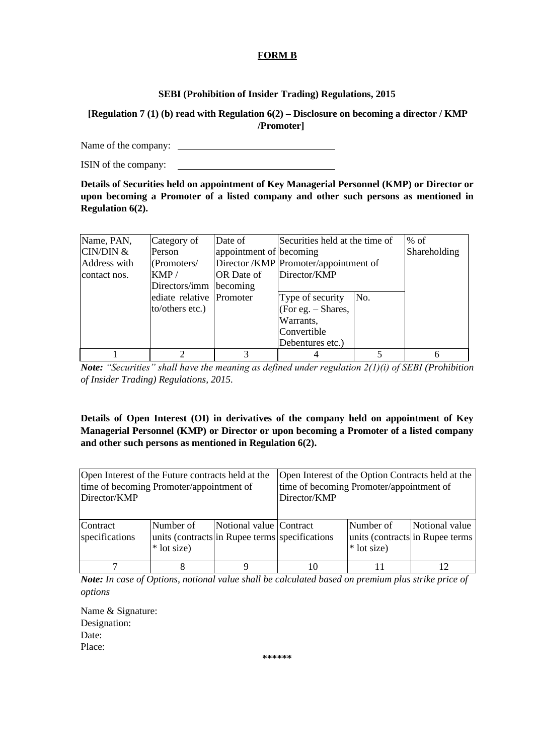## **FORM B**

## **SEBI (Prohibition of Insider Trading) Regulations, 2015**

# **[Regulation 7 (1) (b) read with Regulation 6(2) – Disclosure on becoming a director / KMP /Promoter]**

Name of the company:

ISIN of the company:

**Details of Securities held on appointment of Key Managerial Personnel (KMP) or Director or upon becoming a Promoter of a listed company and other such persons as mentioned in Regulation 6(2).**

| Name, PAN,   | Category of              | Date of                 | Securities held at the time of |                                       | $%$ of |  |  |
|--------------|--------------------------|-------------------------|--------------------------------|---------------------------------------|--------|--|--|
| CIN/DIN &    | Person                   | appointment of becoming |                                | Shareholding                          |        |  |  |
| Address with | ( Promoters/             |                         |                                | Director /KMP Promoter/appointment of |        |  |  |
| contact nos. | KMP/                     | <b>IOR</b> Date of      | Director/KMP                   |                                       |        |  |  |
|              | Directors/imm            | becoming                |                                |                                       |        |  |  |
|              | ediate relative Promoter |                         | Type of security               | No.                                   |        |  |  |
|              | to/others etc.)          |                         | (For eg. $-$ Shares,           |                                       |        |  |  |
|              |                          |                         | Warrants,                      |                                       |        |  |  |
|              |                          |                         | Convertible                    |                                       |        |  |  |
|              |                          |                         | Debentures etc.)               |                                       |        |  |  |
|              | ◠                        |                         |                                |                                       | 6      |  |  |

*Note: "Securities" shall have the meaning as defined under regulation 2(1)(i) of SEBI (Prohibition of Insider Trading) Regulations, 2015.*

**Details of Open Interest (OI) in derivatives of the company held on appointment of Key Managerial Personnel (KMP) or Director or upon becoming a Promoter of a listed company and other such persons as mentioned in Regulation 6(2).**

| Open Interest of the Future contracts held at the<br>time of becoming Promoter/appointment of<br>Director/KMP |                                                                             |                         | Open Interest of the Option Contracts held at the<br>time of becoming Promoter/appointment of<br>Director/KMP |  |  |  |  |
|---------------------------------------------------------------------------------------------------------------|-----------------------------------------------------------------------------|-------------------------|---------------------------------------------------------------------------------------------------------------|--|--|--|--|
| Contract<br>specifications                                                                                    | Number of<br>units (contracts in Rupee terms specifications)<br>* lot size) | Notional value Contract | Number of<br>Notional value<br>units (contracts in Rupee terms)<br>* lot size)                                |  |  |  |  |
| ⇁                                                                                                             |                                                                             |                         | 10                                                                                                            |  |  |  |  |

*Note: In case of Options, notional value shall be calculated based on premium plus strike price of options*

Name & Signature: Designation: Date: Place:

**\*\*\*\*\*\***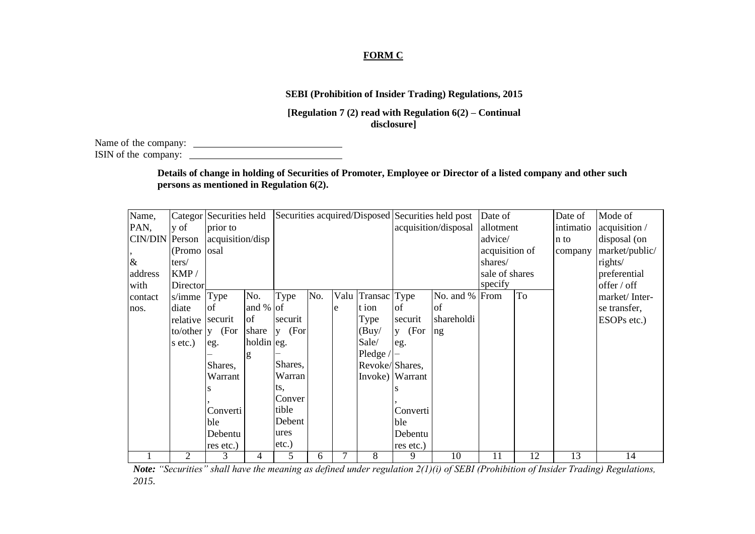# **FORM C**

# **SEBI (Prohibition of Insider Trading) Regulations, 2015**

**[Regulation 7 (2) read with Regulation 6(2) – Continual disclosure]**

Name of the company: ISIN of the company:

> **Details of change in holding of Securities of Promoter, Employee or Director of a listed company and other such persons as mentioned in Regulation 6(2).**

| Name,   |          | Categor Securities held |            |           |     |      |                |                 | Securities acquired/Disposed Securities held post | Date of        |    | Date of     | Mode of        |
|---------|----------|-------------------------|------------|-----------|-----|------|----------------|-----------------|---------------------------------------------------|----------------|----|-------------|----------------|
| PAN,    | y of     | prior to                |            |           |     |      |                |                 | acquisition/disposal                              | allotment      |    | intimatio   | acquisition /  |
| CIN/DIN | Person   | acquisition/disp        |            |           |     |      |                |                 |                                                   | advice/        |    | n to        | disposal (on   |
|         | (Promo   | osal                    |            |           |     |      |                |                 |                                                   | acquisition of |    | company     | market/public/ |
| $\&$    | ters/    |                         |            |           |     |      |                |                 | shares/                                           |                |    | rights/     |                |
| address | KMP/     |                         |            |           |     |      |                |                 |                                                   | sale of shares |    |             | preferential   |
| with    | Director |                         |            |           |     |      |                |                 | specify                                           |                |    | offer / off |                |
| contact | s/imme   | Type                    | No.        | Type      | No. | Valu | Transac Type   |                 | No. and % From                                    |                | To |             | market/Inter-  |
| nos.    | diate    | οf                      | and $%$ of |           |     | e    | t ion          | of              | of                                                |                |    |             | se transfer,   |
|         | relative | securit                 | of         | securit   |     |      | Type           | securit         | shareholdi                                        |                |    |             | ESOPs etc.)    |
|         | to/other | (For<br>$\mathbf{V}$    | share      | (For<br>V |     |      | (Buy/          | $y$ (For        | ng                                                |                |    |             |                |
|         | s etc.)  | eg.                     | holdin eg. |           |     |      | Sale/          | eg.             |                                                   |                |    |             |                |
|         |          |                         | g          |           |     |      | Pledge $/$     |                 |                                                   |                |    |             |                |
|         |          | Shares,                 |            | Shares,   |     |      | Revoke/Shares, |                 |                                                   |                |    |             |                |
|         |          | Warrant                 |            | Warran    |     |      |                | Invoke) Warrant |                                                   |                |    |             |                |
|         |          |                         |            | ts,       |     |      |                |                 |                                                   |                |    |             |                |
|         |          |                         |            | Conver    |     |      |                |                 |                                                   |                |    |             |                |
|         |          | Converti                |            | tible     |     |      |                | Converti        |                                                   |                |    |             |                |
|         |          | ble                     |            | Debent    |     |      |                | ble             |                                                   |                |    |             |                |
|         |          | Debentu                 |            | ures      |     |      |                | Debentu         |                                                   |                |    |             |                |
|         |          | res etc.)               |            | etc.)     |     |      |                | res etc.)       |                                                   |                |    |             |                |
|         | 2        | 3                       | 4          | 5         | 6   | 7    | 8              | 9               | 10                                                | 11             | 12 | 13          | 14             |

*Note: "Securities" shall have the meaning as defined under regulation 2(1)(i) of SEBI (Prohibition of Insider Trading) Regulations, 2015.*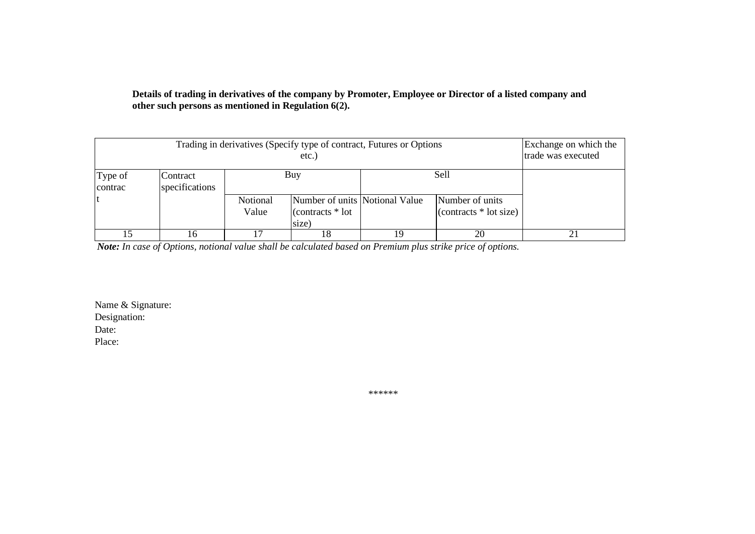# **Details of trading in derivatives of the company by Promoter, Employee or Director of a listed company and other such persons as mentioned in Regulation 6(2).**

|                    | Exchange on which the<br>trade was executed |                   |                                                                       |    |                                            |    |  |  |  |
|--------------------|---------------------------------------------|-------------------|-----------------------------------------------------------------------|----|--------------------------------------------|----|--|--|--|
| Type of<br>contrac | Contract<br>specifications                  |                   | Sell<br>Buy                                                           |    |                                            |    |  |  |  |
|                    |                                             | Notional<br>Value | Number of units Notional Value<br>$\vert$ (contracts $*$ lot<br>size) |    | Number of units<br>$(contrast * lot size)$ |    |  |  |  |
| 15                 | 16                                          |                   | 18                                                                    | 19 | 20                                         | 21 |  |  |  |

*Note: In case of Options, notional value shall be calculated based on Premium plus strike price of options.*

Name & Signature: Designation: Date: Place:

\*\*\*\*\*\*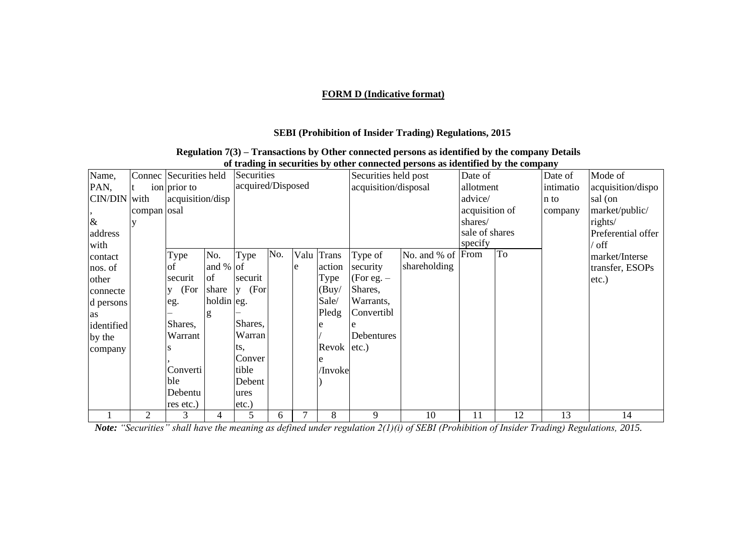# **FORM D (Indicative format)**

## **SEBI (Prohibition of Insider Trading) Regulations, 2015**

### **Regulation 7(3) – Transactions by Other connected persons as identified by the company Details of trading in securities by other connected persons as identified by the company**

| Name,        |             | Connec Securities held |              | Securities        |     |      |                 | Securities held post |                   | Date of        |    | Date of   | Mode of            |
|--------------|-------------|------------------------|--------------|-------------------|-----|------|-----------------|----------------------|-------------------|----------------|----|-----------|--------------------|
| PAN,         | t           | ion prior to           |              | acquired/Disposed |     |      |                 | acquisition/disposal |                   | allotment      |    | intimatio | acquisition/dispo  |
| CIN/DIN with |             | acquisition/disp       |              |                   |     |      |                 |                      |                   | advice/        |    | n to      | sal (on            |
|              | compan osal |                        |              |                   |     |      |                 |                      |                   | acquisition of |    | company   | market/public/     |
| $\&$         |             |                        |              |                   |     |      |                 |                      |                   | shares/        |    |           | rights/            |
| address      |             |                        |              |                   |     |      |                 |                      |                   | sale of shares |    |           | Preferential offer |
| with         |             |                        |              |                   |     |      |                 |                      |                   | specify        |    |           | / off              |
| contact      |             | Type                   | No.          | Type              | No. | Valu | <b>Trans</b>    | Type of              | No. and % of From |                | To |           | market/Interse     |
| nos. of      |             | οt                     | and $%$ of   |                   |     | e    | action          | security             | shareholding      |                |    |           | transfer, ESOPs    |
| other        |             | securit                | of           | securit           |     |      | Type            | (For eg. $-$         |                   |                |    |           | $etc.$ )           |
| connecte     |             | (For<br>V              | share        | (For<br>V         |     |      | (Buy/           | Shares,              |                   |                |    |           |                    |
| d persons    |             | eg.                    | holdin $eg.$ |                   |     |      | Sale/           | Warrants,            |                   |                |    |           |                    |
| as           |             |                        | g            |                   |     |      | Pledg           | Convertibl           |                   |                |    |           |                    |
| identified   |             | Shares,                |              | Shares,           |     |      |                 |                      |                   |                |    |           |                    |
| by the       |             | Warrant                |              | Warran            |     |      |                 | Debentures           |                   |                |    |           |                    |
| company      |             |                        |              | ts.               |     |      | Revok $ etc.$ ) |                      |                   |                |    |           |                    |
|              |             |                        |              | Conver            |     |      |                 |                      |                   |                |    |           |                    |
|              |             | Converti               |              | tible             |     |      | /Invoke         |                      |                   |                |    |           |                    |
|              |             | ble                    |              | Debent            |     |      |                 |                      |                   |                |    |           |                    |
|              |             | Debentu                |              | ures              |     |      |                 |                      |                   |                |    |           |                    |
|              |             | res etc.)              |              | etc.)             |     |      |                 |                      |                   |                |    |           |                    |
|              | 2           | 3                      | 4            | 5                 | 6   | 7    | 8               | 9                    | 10                | 11             | 12 | 13        | 14                 |

*Note: "Securities" shall have the meaning as defined under regulation 2(1)(i) of SEBI (Prohibition of Insider Trading) Regulations, 2015.*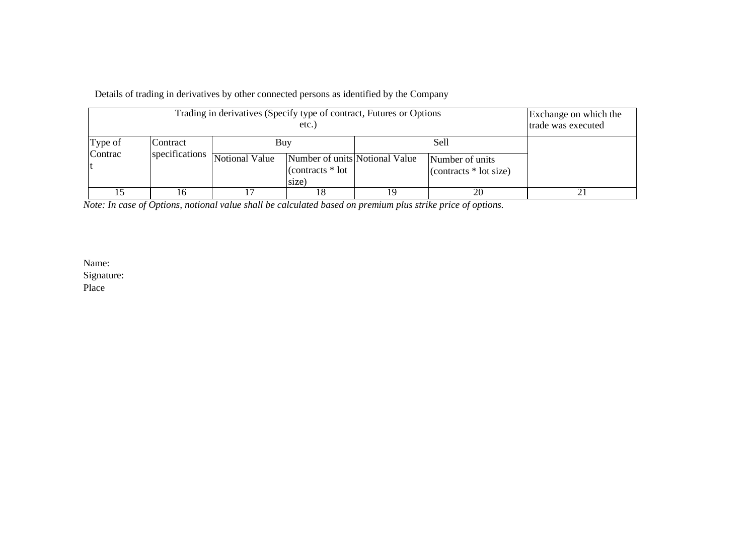Details of trading in derivatives by other connected persons as identified by the Company

|         | Exchange on which the<br>trade was executed |                |                                                                      |    |      |  |
|---------|---------------------------------------------|----------------|----------------------------------------------------------------------|----|------|--|
| Type of | Contract                                    | Buy            |                                                                      |    | Sell |  |
| Contrac | specifications                              | Notional Value | Number of units Notional Value<br>$\arccos \frac{*}{*}$ lot<br>size) |    |      |  |
|         |                                             |                | l8                                                                   | 19 | 20   |  |

*Note: In case of Options, notional value shall be calculated based on premium plus strike price of options.*

Name: Signature: Place